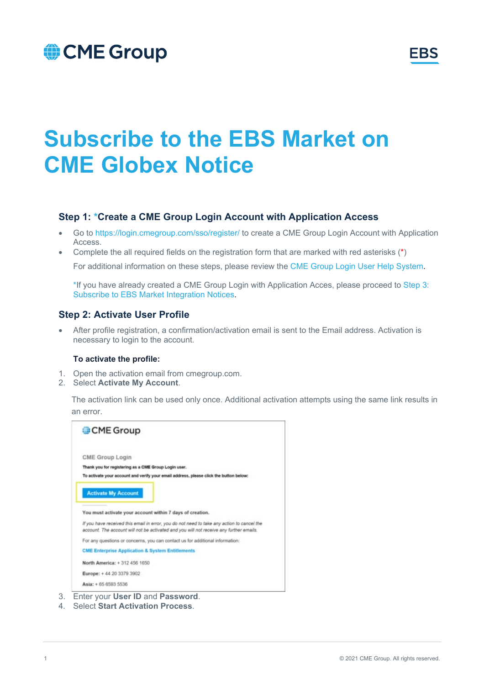## CME Group



# **Subscribe to the EBS Market on CME Globex Notice**

### **Step 1: \*Create a CME Group Login Account with Application Access**

- Go to<https://login.cmegroup.com/sso/register/> to create a CME Group Login Account with Application Access.
- Complete the all required fields on the registration form that are marked with red asterisks (\*) For additional information on these steps, please review the [CME Group Login User Help System.](https://www.cmegroup.com/tools-information/webhelp/cmegroup-login/Content/create_account_applications.html)

\*If you have already created a CME Group Login with Application Acces, please proceed to [Step 3:](#page-2-0)  [Subscribe to EBS Market Integration Notices.](#page-2-0)

### **Step 2: Activate User Profile**

• After profile registration, a confirmation/activation email is sent to the Email address. Activation is necessary to login to the account.

#### **To activate the profile:**

- 1. Open the activation email from cmegroup.com.
- 2. Select **Activate My Account**.

The activation link can be used only once. Additional activation attempts using the same link results in an error.



4. Select **Start Activation Process**.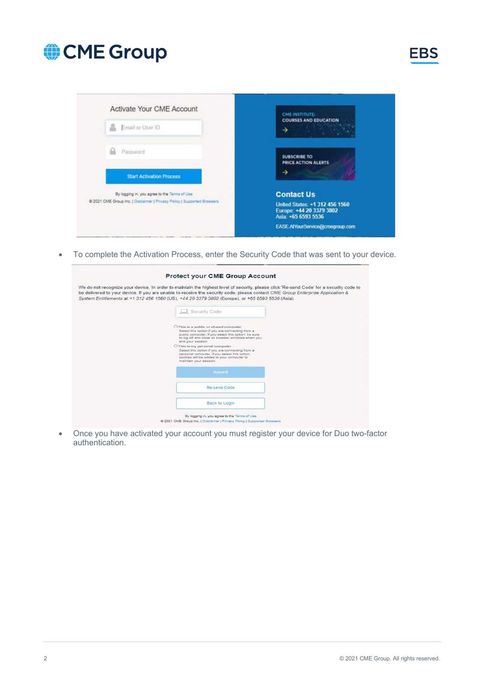



• To complete the Activation Process, enter the Security Code that was sent to your device.

| We do not recognize your device. In order to maintain the highest level of security, please click 'Re-send Code' for a security code to<br>be delivered to your device. If you are unable to receive the security code, please contact CME Group Enterprise Application &<br>System Entitlements at +1 312 456 1560 (US), +44 20 3379 3802 (Europe), or +65 6593 5536 (Asia). |
|-------------------------------------------------------------------------------------------------------------------------------------------------------------------------------------------------------------------------------------------------------------------------------------------------------------------------------------------------------------------------------|
| Security Code                                                                                                                                                                                                                                                                                                                                                                 |
| O This is a public or shared computer<br>Select this option if you are connecting from a<br>public computer. If you select this option, be sure<br>to log off and close all browser windows when you<br>end your session.                                                                                                                                                     |
| O This is my personal computer<br>Select this option if you are connecting from a<br>personal computer. If you select this option,<br>cookies will be added to your computer to<br>maintain your session.                                                                                                                                                                     |
| Submit                                                                                                                                                                                                                                                                                                                                                                        |
| Re-send Code                                                                                                                                                                                                                                                                                                                                                                  |
| <b>Back to Login</b>                                                                                                                                                                                                                                                                                                                                                          |
|                                                                                                                                                                                                                                                                                                                                                                               |

• Once you have activated your account you must register your device for Duo two-factor authentication.

**EBS**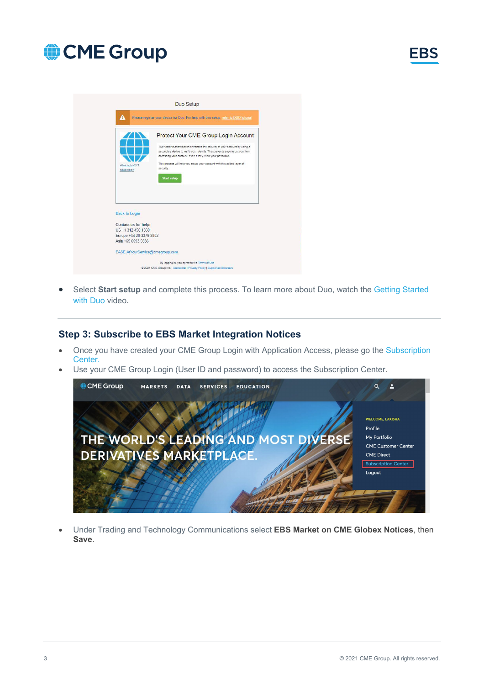

|                                                                    | Please register your device for Duo. For help with this setup, refer to DUO tutorial                                                                                                                                  |
|--------------------------------------------------------------------|-----------------------------------------------------------------------------------------------------------------------------------------------------------------------------------------------------------------------|
|                                                                    | Protect Your CME Group Login Account                                                                                                                                                                                  |
|                                                                    | Two-factor authentication enhances the security of your account by using a<br>secondary device to verify your identity. This prevents anyone but you from<br>accessing your account, even if they know your password. |
| What is this? Li<br>Need help?                                     | This process will help you set up your account with this added layer of<br>security.                                                                                                                                  |
|                                                                    | <b>Start setup</b>                                                                                                                                                                                                    |
|                                                                    |                                                                                                                                                                                                                       |
|                                                                    |                                                                                                                                                                                                                       |
|                                                                    |                                                                                                                                                                                                                       |
|                                                                    |                                                                                                                                                                                                                       |
| <b>Back to Login</b><br>Contact us for help:<br>US +1 312 456 1560 |                                                                                                                                                                                                                       |
| Europe +44 20 3379 3802<br>Asia +65 6593 5536                      |                                                                                                                                                                                                                       |

• Select **Start setup** and complete this process. To learn more about Duo, watch the [Getting Started](https://www.cmegroup.com/trading/market-tech-and-data-services/duo-security.html)  [with Duo](https://www.cmegroup.com/trading/market-tech-and-data-services/duo-security.html) video.

### <span id="page-2-0"></span>**Step 3: Subscribe to EBS Market Integration Notices**

- Once you have created your CME Group Login with Application Access, please go the [Subscription](https://www.cmegroup.com/my-profile.html#tab_subscriptionCenter)  [Center.](https://www.cmegroup.com/my-profile.html#tab_subscriptionCenter)
- Use your CME Group Login (User ID and password) to access the Subscription Center.



• Under Trading and Technology Communications select **EBS Market on CME Globex Notices**, then **Save**.